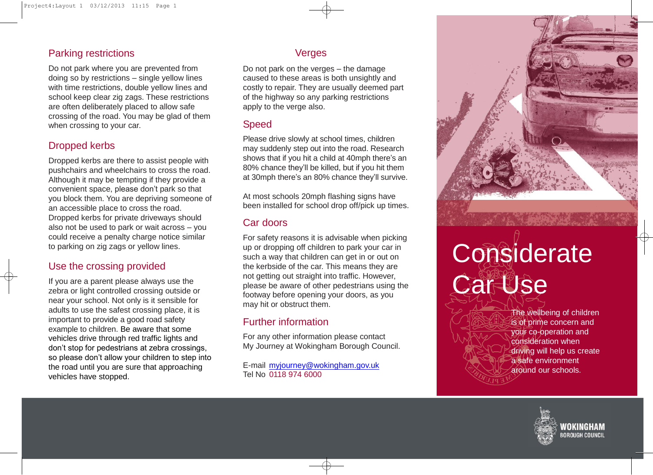## Parking restrictions

Do not park where you are prevented from doing so by restrictions – single yellow lines with time restrictions, double yellow lines and school keep clear zig zags. These restrictions are often deliberately placed to allow safe crossing of the road. You may be glad of them when crossing to your car.

## Dropped kerbs

Dropped kerbs are there to assist people with pushchairs and wheelchairs to cross the road. Although it may be tempting if they provide a convenient space, please don't park so that you block them. You are depriving someone of an accessible place to cross the road. Dropped kerbs for private driveways should also not be used to park or wait across – you could receive a penalty charge notice similar to parking on zig zags or yellow lines.

## Use the crossing provided

If you are a parent please always use the zebra or light controlled crossing outside or near your school. Not only is it sensible for adults to use the safest crossing place, it is important to provide a good road safety example to children. Be aware that some vehicles drive through red traffic lights and don't stop for pedestrians at zebra crossings, so please don't allow your children to step into the road until you are sure that approaching vehicles have stopped.

### Verges

Do not park on the verges – the damage caused to these areas is both unsightly and costly to repair. They are usually deemed part of the highway so any parking restrictions apply to the verge also.

### Speed

Please drive slowly at school times, children may suddenly step out into the road. Research shows that if you hit a child at 40mph there's an 80% chance they'll be killed, but if you hit them at 30mph there's an 80% chance they'll survive.

At most schools 20mph flashing signs have been installed for school drop off/pick up times.

### Car doors

For safety reasons it is advisable when picking up or dropping off children to park your car in such a way that children can get in or out on the kerbside of the car. This means they are not getting out straight into traffic. However, please be aware of other pedestrians using the footway before opening your doors, as you may hit or obstruct them.

## Further information

For any other information please contact My Journey at Wokingham Borough Council.

E-mail [myjourney@wokingham.gov.uk](mailto:myjourney@wokingham.gov.uk) Tel No 0118 974 6000

# **Considerate Car Use**

The wellbeing of children is of prime concern and your co-operation and consideration when driving will help us create a safe environment around our schools.